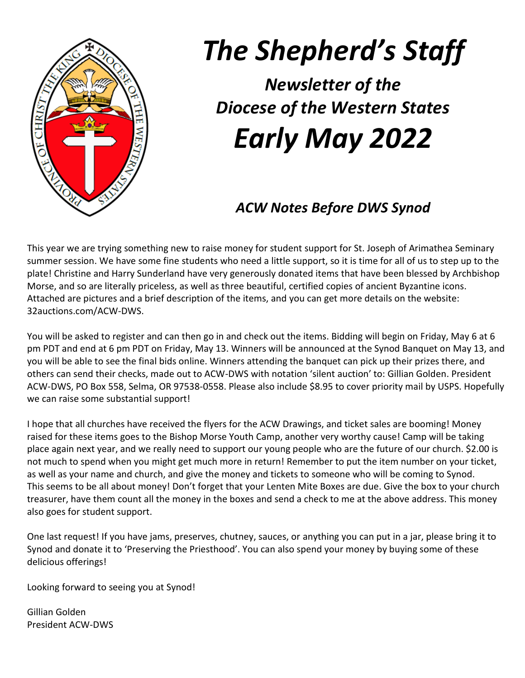

# *The Shepherd's Staff*

*Newsletter of the Diocese of the Western States Early May 2022*

# *ACW Notes Before DWS Synod*

This year we are trying something new to raise money for student support for St. Joseph of Arimathea Seminary summer session. We have some fine students who need a little support, so it is time for all of us to step up to the plate! Christine and Harry Sunderland have very generously donated items that have been blessed by Archbishop Morse, and so are literally priceless, as well as three beautiful, certified copies of ancient Byzantine icons. Attached are pictures and a brief description of the items, and you can get more details on the website: 32auctions.com/ACW-DWS.

You will be asked to register and can then go in and check out the items. Bidding will begin on Friday, May 6 at 6 pm PDT and end at 6 pm PDT on Friday, May 13. Winners will be announced at the Synod Banquet on May 13, and you will be able to see the final bids online. Winners attending the banquet can pick up their prizes there, and others can send their checks, made out to ACW-DWS with notation 'silent auction' to: Gillian Golden. President ACW-DWS, PO Box 558, Selma, OR 97538-0558. Please also include \$8.95 to cover priority mail by USPS. Hopefully we can raise some substantial support!

I hope that all churches have received the flyers for the ACW Drawings, and ticket sales are booming! Money raised for these items goes to the Bishop Morse Youth Camp, another very worthy cause! Camp will be taking place again next year, and we really need to support our young people who are the future of our church. \$2.00 is not much to spend when you might get much more in return! Remember to put the item number on your ticket, as well as your name and church, and give the money and tickets to someone who will be coming to Synod. This seems to be all about money! Don't forget that your Lenten Mite Boxes are due. Give the box to your church treasurer, have them count all the money in the boxes and send a check to me at the above address. This money also goes for student support.

One last request! If you have jams, preserves, chutney, sauces, or anything you can put in a jar, please bring it to Synod and donate it to 'Preserving the Priesthood'. You can also spend your money by buying some of these delicious offerings!

Looking forward to seeing you at Synod!

Gillian Golden President ACW-DWS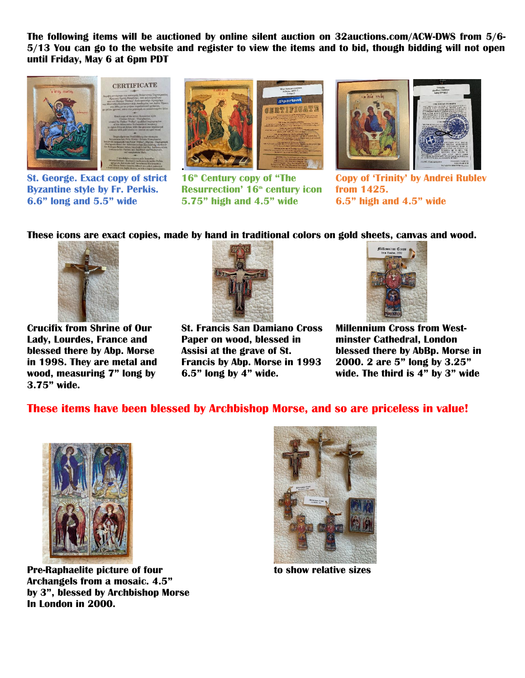**The following items will be auctioned by online silent auction on 32auctions.com/ACW-DWS from 5/6- 5/13 You can go to the website and register to view the items and to bid, though bidding will not open until Friday, May 6 at 6pm PDT**







**Byzantine style by Fr. Perkis. Resurrection' 16th century icon from 1425. 6.6" long and 5.5" wide 5.75" high and 4.5" wide 6.5" high and 4.5" wide**



**St. George. Exact copy of strict 16th Century copy of "The Copy of 'Trinity' by Andrei Rublev**

**These icons are exact copies, made by hand in traditional colors on gold sheets, canvas and wood.**



**3.75" wide.** 



**Crucifix from Shrine of Our St. Francis San Damiano Cross Millennium Cross from West-Lady, Lourdes, France and Paper on wood, blessed in minster Cathedral, London in 1998. They are metal and Francis by Abp. Morse in 1993 2000. 2 are 5" long by 3.25"** 



**blessed there by Abp. Morse Assisi at the grave of St. blessed there by AbBp. Morse in wood, measuring 7" long by 6.5" long by 4" wide. wide. The third is 4" by 3" wide**

#### **These items have been blessed by Archbishop Morse, and so are priceless in value!**



**Pre-Raphaelite picture of four to show relative sizes Archangels from a mosaic. 4.5" by 3", blessed by Archbishop Morse In London in 2000.**

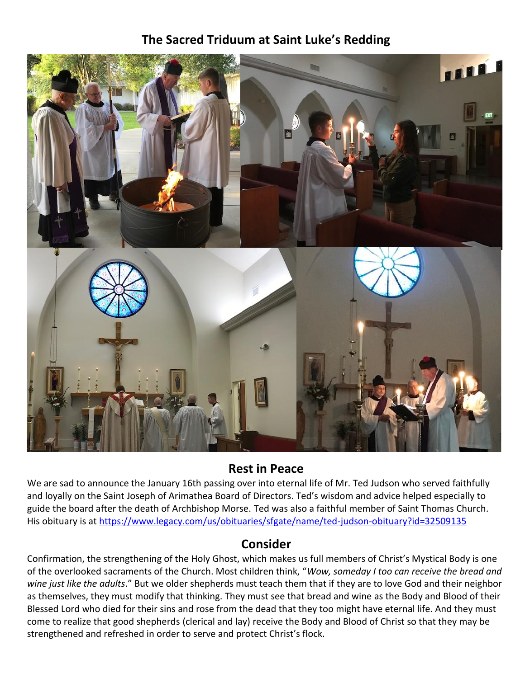## **The Sacred Triduum at Saint Luke's Redding**



#### **Rest in Peace**

We are sad to announce the January 16th passing over into eternal life of Mr. Ted Judson who served faithfully and loyally on the Saint Joseph of Arimathea Board of Directors. Ted's wisdom and advice helped especially to guide the board after the death of Archbishop Morse. Ted was also a faithful member of Saint Thomas Church. His obituary is at<https://www.legacy.com/us/obituaries/sfgate/name/ted-judson-obituary?id=32509135>

#### **Consider**

Confirmation, the strengthening of the Holy Ghost, which makes us full members of Christ's Mystical Body is one of the overlooked sacraments of the Church. Most children think, "*Wow, someday I too can receive the bread and wine just like the adults*." But we older shepherds must teach them that if they are to love God and their neighbor as themselves, they must modify that thinking. They must see that bread and wine as the Body and Blood of their Blessed Lord who died for their sins and rose from the dead that they too might have eternal life. And they must come to realize that good shepherds (clerical and lay) receive the Body and Blood of Christ so that they may be strengthened and refreshed in order to serve and protect Christ's flock.